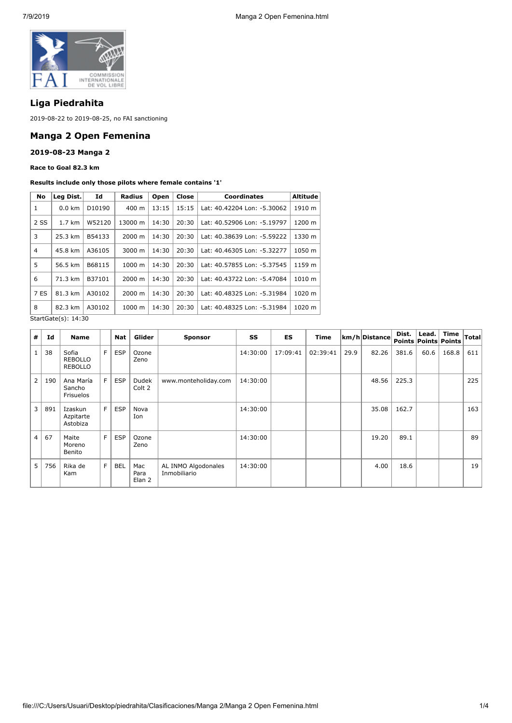

# **Liga Piedrahita**

2019-08-22 to 2019-08-25, no FAI sanctioning

## **Manga 2 Open Femenina**

### **2019-08-23 Manga 2**

**Race to Goal 82.3 km**

#### **Results include only those pilots where female contains '1'**

| No                    | Leg Dist. | Id     | <b>Radius</b>      | Open  | Close | <b>Coordinates</b>          | <b>Altitude</b> |  |  |
|-----------------------|-----------|--------|--------------------|-------|-------|-----------------------------|-----------------|--|--|
| 1                     | $0.0$ km  | D10190 | 400 m              | 13:15 | 15:15 | Lat: 40.42204 Lon: -5.30062 | 1910 m          |  |  |
| 2 SS                  | 1.7 km    | W52120 | 13000 m            | 14:30 | 20:30 | Lat: 40.52906 Lon: -5.19797 | 1200 m          |  |  |
| 3                     | 25.3 km   | B54133 | $2000 \; \text{m}$ | 14:30 | 20:30 | Lat: 40.38639 Lon: -5.59222 | 1330 m          |  |  |
| $\overline{4}$        | 45.8 km   | A36105 | 3000 m             | 14:30 | 20:30 | Lat: 40.46305 Lon: -5.32277 | 1050 m          |  |  |
| 5                     | 56.5 km   | B68115 | $1000 \; m$        | 14:30 | 20:30 | Lat: 40.57855 Lon: -5.37545 | 1159 m          |  |  |
| 6                     | 71.3 km   | B37101 | $2000 \; \text{m}$ | 14:30 | 20:30 | Lat: 40.43722 Lon: -5.47084 | 1010 m          |  |  |
| 7 ES                  | 81.3 km   | A30102 | 2000 m             | 14:30 | 20:30 | Lat: 40.48325 Lon: -5.31984 | 1020 m          |  |  |
| 8                     | 82.3 km   | A30102 | 1000 m             | 14:30 | 20:30 | Lat: 40.48325 Lon: -5.31984 | 1020 m          |  |  |
| $C+2+C+2(n)$ , 14, 20 |           |        |                    |       |       |                             |                 |  |  |

StartGate(s): 14:30

| #              | Id  | <b>Name</b>                               |   | <b>Nat</b> | Glider                | <b>Sponsor</b>                      | SS       | ES       | <b>Time</b> |      | km/h Distance | Dist. | Lead. | Time<br><b>Points Points Points</b> | $\sf Total$ |
|----------------|-----|-------------------------------------------|---|------------|-----------------------|-------------------------------------|----------|----------|-------------|------|---------------|-------|-------|-------------------------------------|-------------|
| $\mathbf{1}$   | 38  | Sofia<br><b>REBOLLO</b><br><b>REBOLLO</b> | F | <b>ESP</b> | Ozone<br>Zeno         |                                     | 14:30:00 | 17:09:41 | 02:39:41    | 29.9 | 82.26         | 381.6 | 60.6  | 168.8                               | 611         |
| $\overline{2}$ | 190 | Ana María<br>Sancho<br>Frisuelos          | F | <b>ESP</b> | Dudek<br>Colt 2       | www.monteholiday.com                | 14:30:00 |          |             |      | 48.56         | 225.3 |       |                                     | 225         |
| 3 <sup>1</sup> | 891 | Izaskun<br>Azpitarte<br>Astobiza          | F | <b>ESP</b> | Nova<br>Ion           |                                     | 14:30:00 |          |             |      | 35.08         | 162.7 |       |                                     | 163         |
| 4 <sup>1</sup> | 67  | Maite<br>Moreno<br>Benito                 | F | <b>ESP</b> | Ozone<br>Zeno         |                                     | 14:30:00 |          |             |      | 19.20         | 89.1  |       |                                     | 89          |
| 5              | 756 | Rika de<br>Kam                            | F | <b>BEL</b> | Mac<br>Para<br>Elan 2 | AL INMO Algodonales<br>Inmobiliario | 14:30:00 |          |             |      | 4.00          | 18.6  |       |                                     | 19          |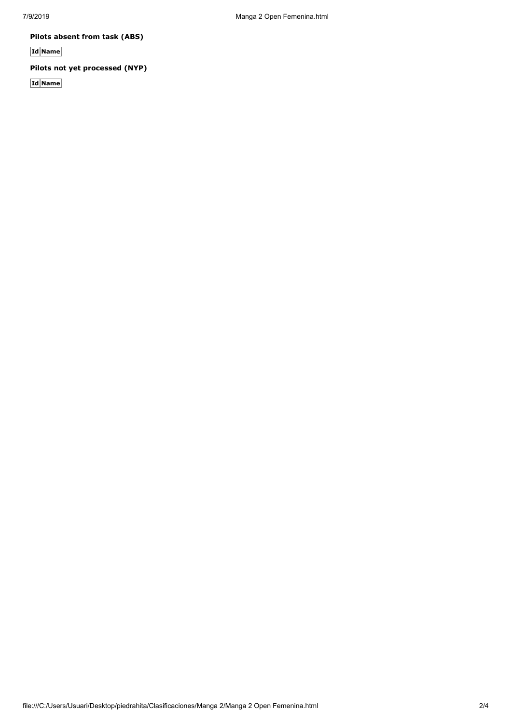**Pilots absent from task (ABS)**

**Id Name**

# **Pilots not yet processed (NYP)**

**Id Name**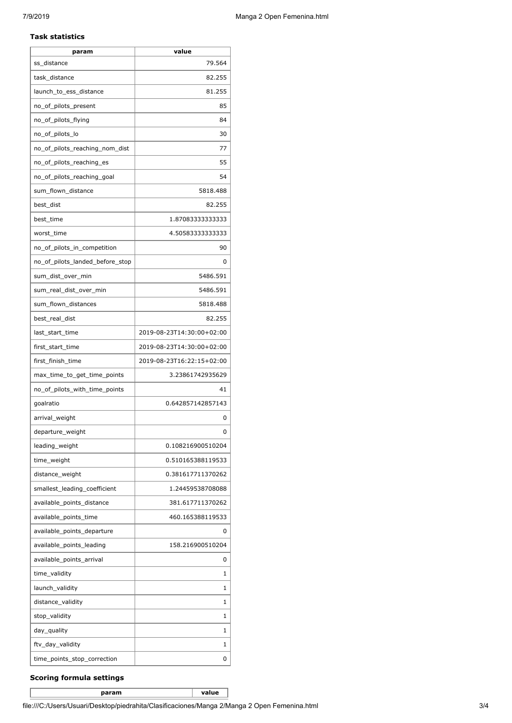#### **Task statistics**

| param                           | value                     |
|---------------------------------|---------------------------|
| ss distance                     | 79.564                    |
| task_distance                   | 82.255                    |
| launch_to_ess_distance          | 81.255                    |
| no_of_pilots_present            | 85                        |
| no_of_pilots_flying             | 84                        |
| no_of_pilots_lo                 | 30                        |
| no_of_pilots_reaching_nom_dist  | 77                        |
| no_of_pilots_reaching_es        | 55                        |
| no_of_pilots_reaching_goal      | 54                        |
| sum_flown_distance              | 5818.488                  |
| best_dist                       | 82.255                    |
| best_time                       | 1.87083333333333          |
| worst_time                      | 4.50583333333333          |
| no_of_pilots_in_competition     | 90                        |
| no_of_pilots_landed_before_stop | 0                         |
| sum_dist_over_min               | 5486.591                  |
| sum_real_dist_over_min          | 5486.591                  |
| sum_flown_distances             | 5818.488                  |
| best_real_dist                  | 82.255                    |
| last_start_time                 | 2019-08-23T14:30:00+02:00 |
| first_start_time                | 2019-08-23T14:30:00+02:00 |
| first_finish_time               | 2019-08-23T16:22:15+02:00 |
| max_time_to_get_time_points     | 3.23861742935629          |
| no_of_pilots_with_time_points   | 41                        |
| goalratio                       | 0.642857142857143         |
| arrival_weight                  | 0                         |
| departure_weight                | 0                         |
| leading_weight                  | 0.108216900510204         |
| time_weight                     | 0.510165388119533         |
| distance_weight                 | 0.381617711370262         |
| smallest leading coefficient    | 1.24459538708088          |
| available_points_distance       | 381.617711370262          |
| available_points_time           | 460.165388119533          |
| available_points_departure      | 0                         |
| available_points_leading        | 158.216900510204          |
| available_points_arrival        | 0                         |
| time_validity                   | 1                         |
| launch_validity                 | 1                         |
| distance_validity               | 1                         |
| stop_validity                   | 1                         |
| day_quality                     | 1                         |
| ftv_day_validity                | 1                         |
| time_points_stop_correction     | 0                         |

### **Scoring formula settings**

**param value**